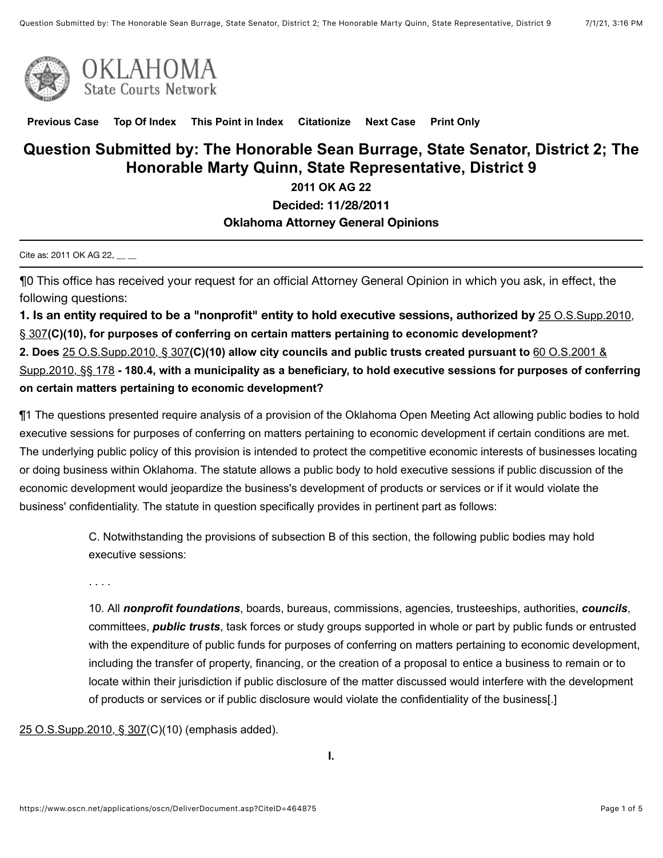



**[Previous Case](javascript:GetPrevious();) [Top Of Index](javascript:GetIndex();) [This Point in Index](javascript:GetHereInIndex();) [Citationize](javascript:GetCitationize();) [Next Case](javascript:GetNext();) [Print Only](javascript:PrintOnly();)**

# **Question Submitted by: The Honorable Sean Burrage, State Senator, District 2; The Honorable Marty Quinn, State Representative, District 9**

**2011 OK AG 22**

**Decided: 11/28/2011**

### **Oklahoma Attorney General Opinions**

Cite as: 2011 OK AG 22, \_\_ \_

¶0 This office has received your request for an official Attorney General Opinion in which you ask, in effect, the following questions:

**1. [Is an entity required to be a "nonprofit" entity to hold executive sessions, authorized by](https://www.oscn.net/applications/oscn/deliverdocument.asp?citeid=73431)** 25 O.S.Supp.2010, § 307**(C)(10), for purposes of conferring on certain matters pertaining to economic development? 2. Does** [25 O.S.Supp.2010, § 307](https://www.oscn.net/applications/oscn/deliverdocument.asp?citeid=73431)**(C)(10) allow city councils and public trusts created pursuant to** 60 O.S.2001 & Supp.2010, §§ 178 **[- 180.4, with a municipality as a beneficiary, to hold executive sessions for purposes of conf](https://www.oscn.net/applications/oscn/deliverdocument.asp?citeid=85799)erring on certain matters pertaining to economic development?**

¶1 The questions presented require analysis of a provision of the Oklahoma Open Meeting Act allowing public bodies to hold executive sessions for purposes of conferring on matters pertaining to economic development if certain conditions are met. The underlying public policy of this provision is intended to protect the competitive economic interests of businesses locating or doing business within Oklahoma. The statute allows a public body to hold executive sessions if public discussion of the economic development would jeopardize the business's development of products or services or if it would violate the business' confidentiality. The statute in question specifically provides in pertinent part as follows:

> C. Notwithstanding the provisions of subsection B of this section, the following public bodies may hold executive sessions:

. . . .

10. All *nonprofit foundations*, boards, bureaus, commissions, agencies, trusteeships, authorities, *councils*, committees, *public trusts*, task forces or study groups supported in whole or part by public funds or entrusted with the expenditure of public funds for purposes of conferring on matters pertaining to economic development, including the transfer of property, financing, or the creation of a proposal to entice a business to remain or to locate within their jurisdiction if public disclosure of the matter discussed would interfere with the development of products or services or if public disclosure would violate the confidentiality of the business[.]

[25 O.S.Supp.2010, § 307](https://www.oscn.net/applications/oscn/deliverdocument.asp?citeid=73431)(C)(10) (emphasis added).

**I.**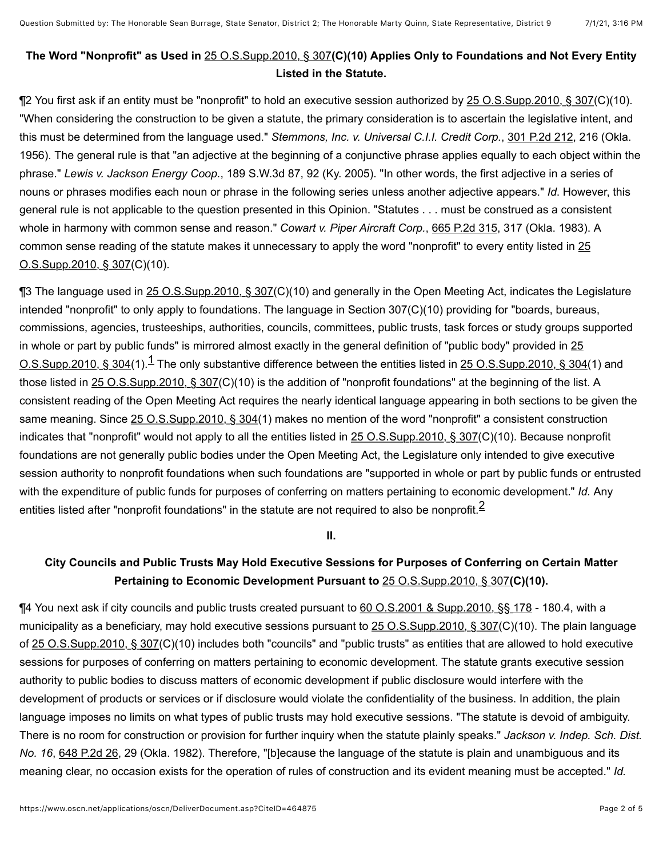## **The Word "Nonprofit" as Used in** [25 O.S.Supp.2010, § 307](https://www.oscn.net/applications/oscn/deliverdocument.asp?citeid=73431)**(C)(10) Applies Only to Foundations and Not Every Entity Listed in the Statute.**

¶2 You first ask if an entity must be "nonprofit" to hold an executive session authorized by [25 O.S.Supp.2010, § 307\(](https://www.oscn.net/applications/oscn/deliverdocument.asp?citeid=73431)C)(10). "When considering the construction to be given a statute, the primary consideration is to ascertain the legislative intent, and this must be determined from the language used." *Stemmons, Inc. v. Universal C.I.I. Credit Corp.*, [301 P.2d 212](https://www.oscn.net/applications/oscn/deliverdocument.asp?citeid=26303), 216 (Okla. 1956). The general rule is that "an adjective at the beginning of a conjunctive phrase applies equally to each object within the phrase." *Lewis v. Jackson Energy Coop.*, 189 S.W.3d 87, 92 (Ky. 2005). "In other words, the first adjective in a series of nouns or phrases modifies each noun or phrase in the following series unless another adjective appears." *Id*. However, this general rule is not applicable to the question presented in this Opinion. "Statutes . . . must be construed as a consistent whole in harmony with common sense and reason." *Cowart v. Piper Aircraft Corp.*, [665 P.2d 315](https://www.oscn.net/applications/oscn/deliverdocument.asp?citeid=9521), 317 (Okla. 1983). A [common sense reading of the statute makes it unnecessary to apply the word "nonprofit" to every entity listed in 25](https://www.oscn.net/applications/oscn/deliverdocument.asp?citeid=73431) O.S.Supp.2010, § 307(C)(10).

<span id="page-1-0"></span>¶3 The language used in [25 O.S.Supp.2010, § 307\(](https://www.oscn.net/applications/oscn/deliverdocument.asp?citeid=73431)C)(10) and generally in the Open Meeting Act, indicates the Legislature intended "nonprofit" to only apply to foundations. The language in Section 307(C)(10) providing for "boards, bureaus, commissions, agencies, trusteeships, authorities, councils, committees, public trusts, task forces or study groups supported in whole or part by public funds" is mirrored almost exactly in the general definition of "public body" provided in 25  $0.8.$ Supp.2010, § 304(1). $1$  The only substantive difference between the entities listed in 25 O.S.Supp.2010, § 304(1) and those listed in [25 O.S.Supp.2010, § 307\(](https://www.oscn.net/applications/oscn/deliverdocument.asp?citeid=73431)C)(10) is the addition of "nonprofit foundations" at the beginning of the list. A consistent reading of the Open Meeting Act requires the nearly identical language appearing in both sections to be given the same meaning. Since [25 O.S.Supp.2010, § 304](https://www.oscn.net/applications/oscn/deliverdocument.asp?citeid=73428)(1) makes no mention of the word "nonprofit" a consistent construction indicates that "nonprofit" would not apply to all the entities listed in [25 O.S.Supp.2010, § 307\(](https://www.oscn.net/applications/oscn/deliverdocument.asp?citeid=73431)C)(10). Because nonprofit foundations are not generally public bodies under the Open Meeting Act, the Legislature only intended to give executive session authority to nonprofit foundations when such foundations are "supported in whole or part by public funds or entrusted with the expenditure of public funds for purposes of conferring on matters pertaining to economic development." *Id.* Any entities listed after "nonprofit foundations" in the statute are not required to also be nonprofit. $^2$  $^2$ 

<span id="page-1-1"></span>**II.**

# **City Councils and Public Trusts May Hold Executive Sessions for Purposes of Conferring on Certain Matter Pertaining to Economic Development Pursuant to** [25 O.S.Supp.2010, § 307](https://www.oscn.net/applications/oscn/deliverdocument.asp?citeid=73431)**(C)(10).**

¶4 You next ask if city councils and public trusts created pursuant to [60 O.S.2001 & Supp.2010, §§ 178](https://www.oscn.net/applications/oscn/deliverdocument.asp?citeid=85799) - 180.4, with a municipality as a beneficiary, may hold executive sessions pursuant to [25 O.S.Supp.2010, § 307\(](https://www.oscn.net/applications/oscn/deliverdocument.asp?citeid=73431)C)(10). The plain language of [25 O.S.Supp.2010, § 307\(](https://www.oscn.net/applications/oscn/deliverdocument.asp?citeid=73431)C)(10) includes both "councils" and "public trusts" as entities that are allowed to hold executive sessions for purposes of conferring on matters pertaining to economic development. The statute grants executive session authority to public bodies to discuss matters of economic development if public disclosure would interfere with the development of products or services or if disclosure would violate the confidentiality of the business. In addition, the plain language imposes no limits on what types of public trusts may hold executive sessions. "The statute is devoid of ambiguity. There is no room for construction or provision for further inquiry when the statute plainly speaks." *Jackson v. Indep. Sch. Dist. No. 16*, [648 P.2d 26](https://www.oscn.net/applications/oscn/deliverdocument.asp?citeid=5264), 29 (Okla. 1982). Therefore, "[b]ecause the language of the statute is plain and unambiguous and its meaning clear, no occasion exists for the operation of rules of construction and its evident meaning must be accepted." *Id.*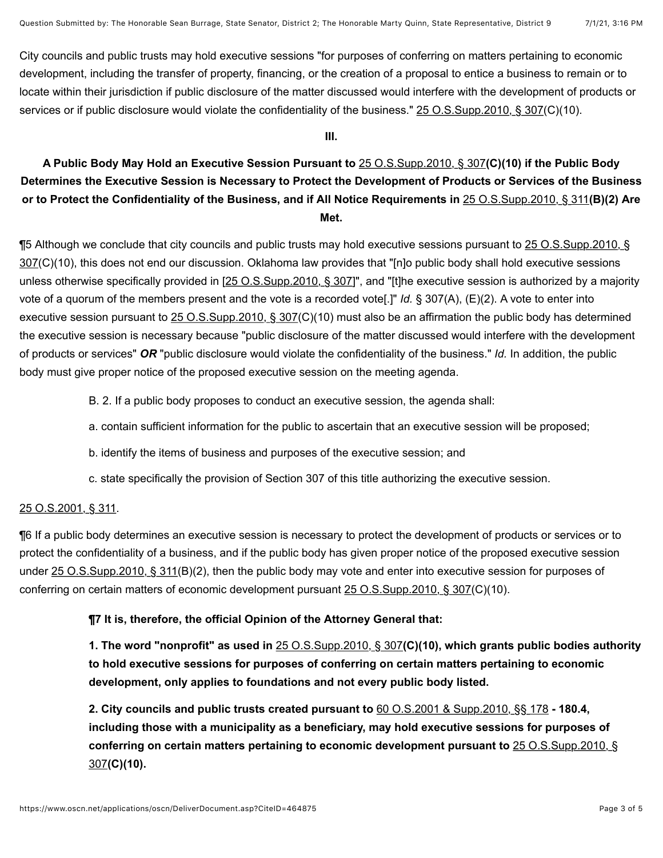City councils and public trusts may hold executive sessions "for purposes of conferring on matters pertaining to economic development, including the transfer of property, financing, or the creation of a proposal to entice a business to remain or to locate within their jurisdiction if public disclosure of the matter discussed would interfere with the development of products or services or if public disclosure would violate the confidentiality of the business." [25 O.S.Supp.2010, § 307](https://www.oscn.net/applications/oscn/deliverdocument.asp?citeid=73431)(C)(10).

#### **III.**

## **A Public Body May Hold an Executive Session Pursuant to** [25 O.S.Supp.2010, § 307](https://www.oscn.net/applications/oscn/deliverdocument.asp?citeid=73431)**(C)(10) if the Public Body Determines the Executive Session is Necessary to Protect the Development of Products or Services of the Business or to Protect the Confidentiality of the Business, and if All Notice Requirements in** [25 O.S.Supp.2010, § 311](https://www.oscn.net/applications/oscn/deliverdocument.asp?citeid=73436)**(B)(2) Are Met.**

[¶5 Although we conclude that city councils and public trusts may hold executive sessions pursuant to 25 O.S.Supp.2010, §](https://www.oscn.net/applications/oscn/deliverdocument.asp?citeid=73431) 307(C)(10), this does not end our discussion. Oklahoma law provides that "[n]o public body shall hold executive sessions unless otherwise specifically provided in [\[25 O.S.Supp.2010, § 307\]](https://www.oscn.net/applications/oscn/deliverdocument.asp?citeid=73431)", and "[t]he executive session is authorized by a majority vote of a quorum of the members present and the vote is a recorded vote[.]" *Id.* § 307(A), (E)(2). A vote to enter into executive session pursuant to [25 O.S.Supp.2010, § 307](https://www.oscn.net/applications/oscn/deliverdocument.asp?citeid=73431)(C)(10) must also be an affirmation the public body has determined the executive session is necessary because "public disclosure of the matter discussed would interfere with the development of products or services" *OR* "public disclosure would violate the confidentiality of the business." *Id.* In addition, the public body must give proper notice of the proposed executive session on the meeting agenda.

- B. 2. If a public body proposes to conduct an executive session, the agenda shall:
- a. contain sufficient information for the public to ascertain that an executive session will be proposed;
- b. identify the items of business and purposes of the executive session; and
- c. state specifically the provision of Section 307 of this title authorizing the executive session.

#### [25 O.S.2001, § 311](https://www.oscn.net/applications/oscn/deliverdocument.asp?citeid=73436).

¶6 If a public body determines an executive session is necessary to protect the development of products or services or to protect the confidentiality of a business, and if the public body has given proper notice of the proposed executive session under [25 O.S.Supp.2010, § 311](https://www.oscn.net/applications/oscn/deliverdocument.asp?citeid=73436)(B)(2), then the public body may vote and enter into executive session for purposes of conferring on certain matters of economic development pursuant [25 O.S.Supp.2010, § 307](https://www.oscn.net/applications/oscn/deliverdocument.asp?citeid=73431)(C)(10).

### **¶7 It is, therefore, the official Opinion of the Attorney General that:**

**1. The word "nonprofit" as used in** [25 O.S.Supp.2010, § 307](https://www.oscn.net/applications/oscn/deliverdocument.asp?citeid=73431)**(C)(10), which grants public bodies authority to hold executive sessions for purposes of conferring on certain matters pertaining to economic development, only applies to foundations and not every public body listed.**

**2. City councils and public trusts created pursuant to** [60 O.S.2001 & Supp.2010, §§ 178](https://www.oscn.net/applications/oscn/deliverdocument.asp?citeid=85799) **- 180.4, including those with a municipality as a beneficiary, may hold executive sessions for purposes of [conferring on certain matters pertaining to economic development pursuant to](https://www.oscn.net/applications/oscn/deliverdocument.asp?citeid=73431)** 25 O.S.Supp.2010, § 307**(C)(10).**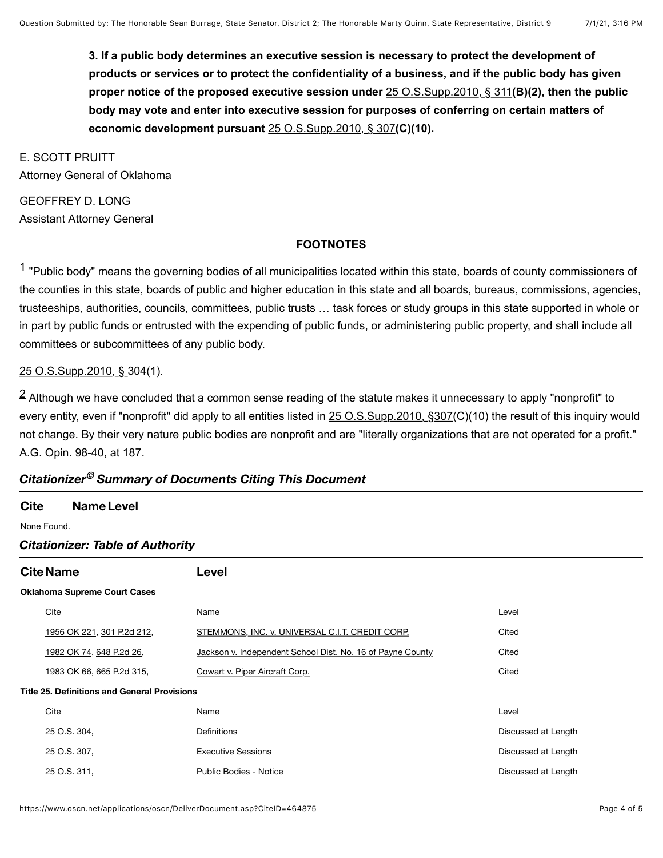**3. If a public body determines an executive session is necessary to protect the development of products or services or to protect the confidentiality of a business, and if the public body has given proper notice of the proposed executive session under** [25 O.S.Supp.2010, § 311](https://www.oscn.net/applications/oscn/deliverdocument.asp?citeid=73436)**(B)(2), then the public body may vote and enter into executive session for purposes of conferring on certain matters of economic development pursuant** [25 O.S.Supp.2010, § 307](https://www.oscn.net/applications/oscn/deliverdocument.asp?citeid=73431)**(C)(10).**

E. SCOTT PRUITT Attorney General of Oklahoma

GEOFFREY D. LONG Assistant Attorney General

#### **FOOTNOTES**

<span id="page-3-0"></span> $1$  "Public body" means the governing bodies of all municipalities located within this state, boards of county commissioners of the counties in this state, boards of public and higher education in this state and all boards, bureaus, commissions, agencies, trusteeships, authorities, councils, committees, public trusts … task forces or study groups in this state supported in whole or in part by public funds or entrusted with the expending of public funds, or administering public property, and shall include all committees or subcommittees of any public body.

#### [25 O.S.Supp.2010, § 304](https://www.oscn.net/applications/oscn/deliverdocument.asp?citeid=73428)(1).

<span id="page-3-1"></span> $^{\textsf{2}}$  $^{\textsf{2}}$  $^{\textsf{2}}$  Although we have concluded that a common sense reading of the statute makes it unnecessary to apply "nonprofit" to every entity, even if "nonprofit" did apply to all entities listed in [25 O.S.Supp.2010, §307](https://www.oscn.net/applications/oscn/deliverdocument.asp?citeid=73431)(C)(10) the result of this inquiry would not change. By their very nature public bodies are nonprofit and are "literally organizations that are not operated for a profit." A.G. Opin. 98-40, at 187.

### *Citationizer Summary of Documents Citing This Document ©*

#### **Cite NameLevel**

None Found.

#### *Citationizer: Table of Authority*

| <b>Cite Name</b>                                    |                            | Level                                                      |                     |  |  |
|-----------------------------------------------------|----------------------------|------------------------------------------------------------|---------------------|--|--|
| <b>Oklahoma Supreme Court Cases</b>                 |                            |                                                            |                     |  |  |
|                                                     | Cite                       | Name                                                       | Level               |  |  |
|                                                     | 1956 OK 221, 301 P.2d 212, | STEMMONS, INC. v. UNIVERSAL C.I.T. CREDIT CORP.            | Cited               |  |  |
|                                                     | 1982 OK 74, 648 P.2d 26,   | Jackson v. Independent School Dist. No. 16 of Payne County | Cited               |  |  |
|                                                     | 1983 OK 66, 665 P.2d 315,  | Cowart v. Piper Aircraft Corp.                             | Cited               |  |  |
| <b>Title 25. Definitions and General Provisions</b> |                            |                                                            |                     |  |  |
|                                                     | Cite                       | Name                                                       | Level               |  |  |
|                                                     | 25 O.S. 304,               | Definitions                                                | Discussed at Length |  |  |
|                                                     | 25 O.S. 307,               | <b>Executive Sessions</b>                                  | Discussed at Length |  |  |
|                                                     | 25 O.S. 311,               | <b>Public Bodies - Notice</b>                              | Discussed at Length |  |  |